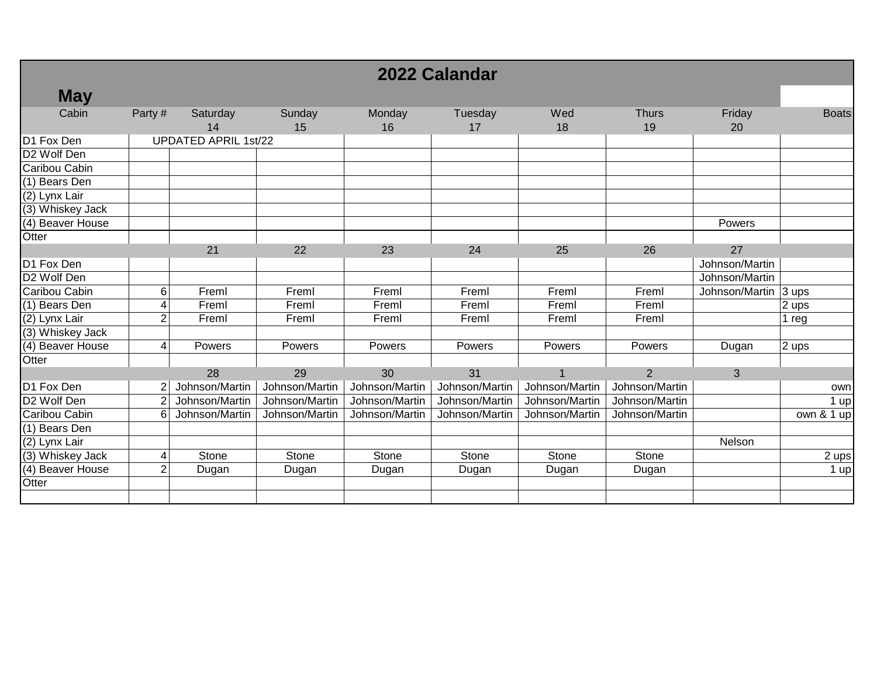| 2022 Calandar           |                |                             |                |                |                |                |                    |                      |              |
|-------------------------|----------------|-----------------------------|----------------|----------------|----------------|----------------|--------------------|----------------------|--------------|
| <b>May</b>              |                |                             |                |                |                |                |                    |                      |              |
| Cabin                   | Party#         | Saturday<br>14              | Sunday<br>15   | Monday<br>16   | Tuesday<br>17  | Wed<br>18      | <b>Thurs</b><br>19 | Friday<br>20         | <b>Boats</b> |
| D1 Fox Den              |                | <b>UPDATED APRIL 1st/22</b> |                |                |                |                |                    |                      |              |
| D <sub>2</sub> Wolf Den |                |                             |                |                |                |                |                    |                      |              |
| Caribou Cabin           |                |                             |                |                |                |                |                    |                      |              |
| (1) Bears Den           |                |                             |                |                |                |                |                    |                      |              |
| (2) Lynx Lair           |                |                             |                |                |                |                |                    |                      |              |
| (3) Whiskey Jack        |                |                             |                |                |                |                |                    |                      |              |
| (4) Beaver House        |                |                             |                |                |                |                |                    | Powers               |              |
| Otter                   |                |                             |                |                |                |                |                    |                      |              |
|                         |                | 21                          | 22             | 23             | 24             | 25             | 26                 | 27                   |              |
| D1 Fox Den              |                |                             |                |                |                |                |                    | Johnson/Martin       |              |
| D <sub>2</sub> Wolf Den |                |                             |                |                |                |                |                    | Johnson/Martin       |              |
| Caribou Cabin           | 6              | Freml                       | Freml          | Freml          | Freml          | Freml          | Freml              | Johnson/Martin 3 ups |              |
| (1) Bears Den           |                | Freml                       | Freml          | Freml          | Freml          | Freml          | Freml              |                      | 2 ups        |
| $\sqrt{(2)}$ Lynx Lair  | $\overline{2}$ | Freml                       | Freml          | Freml          | Freml          | Freml          | Freml              |                      | 1 reg        |
| (3) Whiskey Jack        |                |                             |                |                |                |                |                    |                      |              |
| (4) Beaver House        | 4              | Powers                      | Powers         | Powers         | Powers         | Powers         | Powers             | Dugan                | 2 ups        |
| Otter                   |                |                             |                |                |                |                |                    |                      |              |
|                         |                | 28                          | 29             | 30             | 31             | $\overline{1}$ | $\overline{2}$     | 3                    |              |
| D1 Fox Den              | $\overline{c}$ | Johnson/Martin              | Johnson/Martin | Johnson/Martin | Johnson/Martin | Johnson/Martin | Johnson/Martin     |                      | own          |
| D <sub>2</sub> Wolf Den | $\overline{2}$ | Johnson/Martin              | Johnson/Martin | Johnson/Martin | Johnson/Martin | Johnson/Martin | Johnson/Martin     |                      | 1 up         |
| Caribou Cabin           | 6              | Johnson/Martin              | Johnson/Martin | Johnson/Martin | Johnson/Martin | Johnson/Martin | Johnson/Martin     |                      | own & 1 up   |
| (1) Bears Den           |                |                             |                |                |                |                |                    |                      |              |
| (2) Lynx Lair           |                |                             |                |                |                |                |                    | Nelson               |              |
| (3) Whiskey Jack        | 4              | Stone                       | Stone          | Stone          | Stone          | Stone          | Stone              |                      | 2 ups        |
| (4) Beaver House        | 2              | Dugan                       | Dugan          | Dugan          | Dugan          | Dugan          | Dugan              |                      | 1 up         |
| Otter                   |                |                             |                |                |                |                |                    |                      |              |
|                         |                |                             |                |                |                |                |                    |                      |              |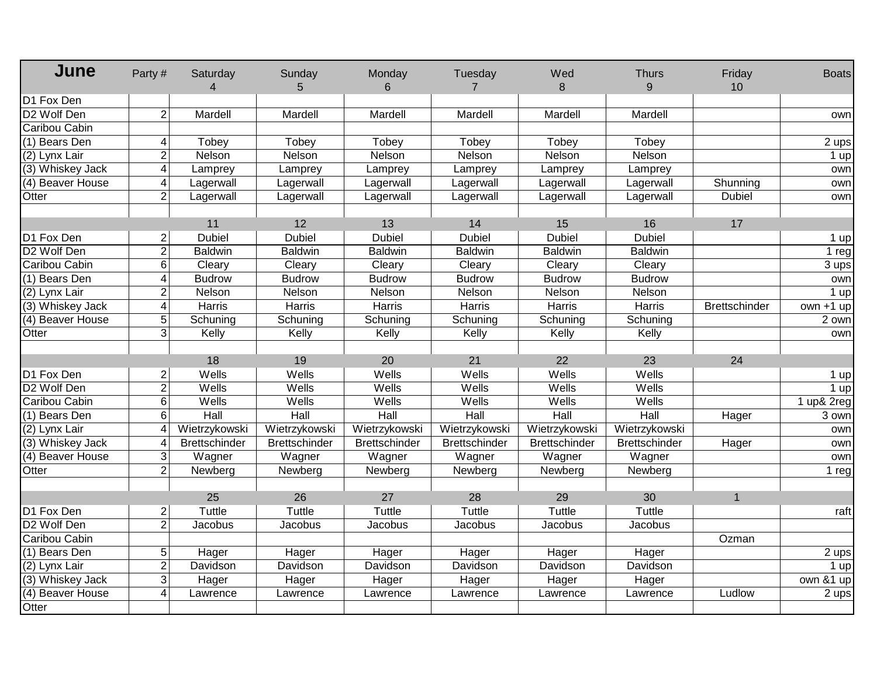| June             | Party#                | Saturday<br>$\overline{4}$ | Sunday<br>5          | Monday<br>6          | Tuesday<br>$\overline{7}$ | Wed<br>8             | <b>Thurs</b><br>9    | Friday<br>10         | <b>Boats</b>           |
|------------------|-----------------------|----------------------------|----------------------|----------------------|---------------------------|----------------------|----------------------|----------------------|------------------------|
| D1 Fox Den       |                       |                            |                      |                      |                           |                      |                      |                      |                        |
| D2 Wolf Den      | $\overline{2}$        | Mardell                    | Mardell              | Mardell              | Mardell                   | Mardell              | Mardell              |                      | own                    |
| Caribou Cabin    |                       |                            |                      |                      |                           |                      |                      |                      |                        |
| (1) Bears Den    | 4                     | Tobey                      | Tobey                | Tobey                | Tobey                     | Tobey                | Tobey                |                      | 2 ups                  |
| (2) Lynx Lair    | $\overline{2}$        | Nelson                     | Nelson               | Nelson               | Nelson                    | Nelson               | Nelson               |                      | $1$ up                 |
| (3) Whiskey Jack | $\overline{4}$        | Lamprey                    | Lamprey              | Lamprey              | Lamprey                   | Lamprey              | Lamprey              |                      | own                    |
| (4) Beaver House | $\overline{4}$        | Lagerwall                  | Lagerwall            | Lagerwall            | Lagerwall                 | Lagerwall            | Lagerwall            | Shunning             | own                    |
| Otter            | $\overline{2}$        | Lagerwall                  | Lagerwall            | Lagerwall            | Lagerwall                 | Lagerwall            | Lagerwall            | <b>Dubiel</b>        | own                    |
|                  |                       |                            |                      |                      |                           |                      |                      |                      |                        |
|                  |                       | 11                         | 12                   | 13                   | 14                        | 15                   | 16                   | 17                   |                        |
| D1 Fox Den       | $\overline{2}$        | <b>Dubiel</b>              | <b>Dubiel</b>        | <b>Dubiel</b>        | <b>Dubiel</b>             | <b>Dubiel</b>        | <b>Dubiel</b>        |                      | $1$ up                 |
| D2 Wolf Den      | $\overline{2}$        | <b>Baldwin</b>             | <b>Baldwin</b>       | <b>Baldwin</b>       | <b>Baldwin</b>            | <b>Baldwin</b>       | <b>Baldwin</b>       |                      | 1 $reg$                |
| Caribou Cabin    | 6                     | Cleary                     | Cleary               | Cleary               | Cleary                    | Cleary               | Cleary               |                      | 3 ups                  |
| (1) Bears Den    | 4                     | <b>Budrow</b>              | <b>Budrow</b>        | <b>Budrow</b>        | <b>Budrow</b>             | <b>Budrow</b>        | <b>Budrow</b>        |                      | own                    |
| (2) Lynx Lair    | $\overline{2}$        | Nelson                     | Nelson               | Nelson               | Nelson                    | Nelson               | Nelson               |                      | $1$ up                 |
| (3) Whiskey Jack | $\overline{4}$        | Harris                     | Harris               | Harris               | Harris                    | Harris               | Harris               | <b>Brettschinder</b> | $\overline{own +1}$ up |
| (4) Beaver House | 5                     | Schuning                   | Schuning             | Schuning             | Schuning                  | Schuning             | Schuning             |                      | 2 own                  |
| Otter            | $\overline{3}$        | Kelly                      | Kelly                | Kelly                | Kelly                     | Kelly                | Kelly                |                      | own                    |
|                  |                       |                            |                      |                      |                           |                      |                      |                      |                        |
|                  |                       | 18                         | 19                   | 20                   | 21                        | 22                   | 23                   | 24                   |                        |
| D1 Fox Den       | $\overline{2}$        | Wells                      | Wells                | Wells                | Wells                     | Wells                | Wells                |                      | $1$ up                 |
| D2 Wolf Den      | $\overline{2}$        | Wells                      | Wells                | Wells                | Wells                     | Wells                | Wells                |                      | $1$ up                 |
| Caribou Cabin    | 6                     | Wells                      | Wells                | Wells                | Wells                     | Wells                | Wells                |                      | 1 up& 2reg             |
| (1) Bears Den    | 6                     | Hall                       | Hall                 | Hall                 | Hall                      | Hall                 | Hall                 | Hager                | 3 own                  |
| (2) Lynx Lair    | 4                     | Wietrzykowski              | Wietrzykowski        | Wietrzykowski        | Wietrzykowski             | Wietrzykowski        | Wietrzykowski        |                      | own                    |
| (3) Whiskey Jack | $\boldsymbol{\Delta}$ | <b>Brettschinder</b>       | <b>Brettschinder</b> | <b>Brettschinder</b> | <b>Brettschinder</b>      | <b>Brettschinder</b> | <b>Brettschinder</b> | Hager                | own                    |
| (4) Beaver House | 3                     | Wagner                     | Wagner               | Wagner               | Wagner                    | Wagner               | Wagner               |                      | ownl                   |
| Otter            | $\overline{2}$        | Newberg                    | Newberg              | Newberg              | Newberg                   | Newberg              | Newberg              |                      | $1$ reg                |
|                  |                       |                            |                      |                      |                           |                      |                      |                      |                        |
|                  |                       | 25                         | 26                   | 27                   | 28                        | 29                   | 30                   | $\mathbf{1}$         |                        |
| D1 Fox Den       | $\overline{2}$        | Tuttle                     | Tuttle               | Tuttle               | Tuttle                    | <b>Tuttle</b>        | Tuttle               |                      | raft                   |
| D2 Wolf Den      | $\overline{2}$        | Jacobus                    | Jacobus              | Jacobus              | Jacobus                   | Jacobus              | Jacobus              |                      |                        |
| Caribou Cabin    |                       |                            |                      |                      |                           |                      |                      | Ozman                |                        |
| (1) Bears Den    | $5\overline{)}$       | Hager                      | Hager                | Hager                | Hager                     | Hager                | Hager                |                      | 2 ups                  |
| (2) Lynx Lair    | $\overline{2}$        | Davidson                   | Davidson             | Davidson             | Davidson                  | Davidson             | Davidson             |                      | $1$ up                 |
| (3) Whiskey Jack | 3                     | Hager                      | Hager                | Hager                | Hager                     | Hager                | Hager                |                      | own $& 1$ up           |
| (4) Beaver House | 4                     | Lawrence                   | Lawrence             | Lawrence             | Lawrence                  | Lawrence             | Lawrence             | Ludlow               | 2 ups                  |
| Otter            |                       |                            |                      |                      |                           |                      |                      |                      |                        |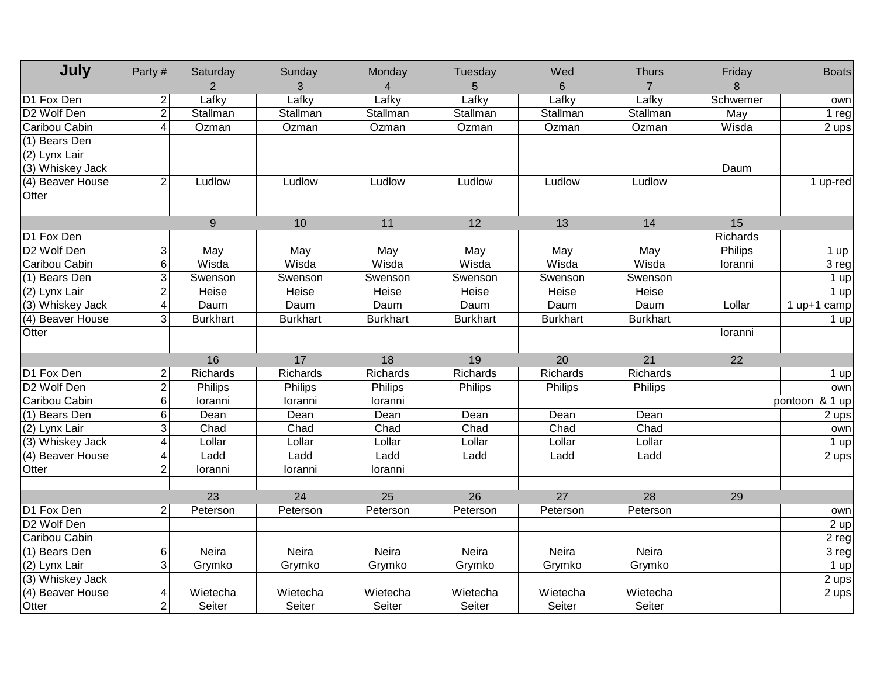| July                    | Party#         | Saturday<br>$\overline{2}$ | Sunday<br>3     | Monday<br>4     | Tuesday<br>5    | Wed<br>6        | <b>Thurs</b><br>$\overline{7}$ | Friday<br>8 | <b>Boats</b>             |
|-------------------------|----------------|----------------------------|-----------------|-----------------|-----------------|-----------------|--------------------------------|-------------|--------------------------|
| D1 Fox Den              | $\overline{2}$ | Lafky                      | Lafky           | Lafky           | Lafky           | Lafky           | Lafky                          | Schwemer    | own                      |
| D <sub>2</sub> Wolf Den | $\overline{2}$ | Stallman                   | Stallman        | Stallman        | Stallman        | Stallman        | Stallman                       | May         | 1 reg                    |
| Caribou Cabin           | 4              | Ozman                      | Ozman           | Ozman           | Ozman           | Ozman           | Ozman                          | Wisda       | 2 ups                    |
| (1) Bears Den           |                |                            |                 |                 |                 |                 |                                |             |                          |
| $(2)$ Lynx Lair         |                |                            |                 |                 |                 |                 |                                |             |                          |
| (3) Whiskey Jack        |                |                            |                 |                 |                 |                 |                                | Daum        |                          |
| (4) Beaver House        | $\overline{2}$ | Ludlow                     | Ludlow          | Ludlow          | Ludlow          | Ludlow          | Ludlow                         |             | 1 up-red                 |
| Otter                   |                |                            |                 |                 |                 |                 |                                |             |                          |
|                         |                |                            |                 |                 |                 |                 |                                |             |                          |
|                         |                | 9                          | 10              | 11              | 12              | 13              | 14                             | 15          |                          |
| D1 Fox Den              |                |                            |                 |                 |                 |                 |                                | Richards    |                          |
| D <sub>2</sub> Wolf Den | 3              | May                        | May             | May             | May             | May             | May                            | Philips     | 1 up                     |
| Caribou Cabin           | $6\phantom{.}$ | Wisda                      | Wisda           | Wisda           | Wisda           | Wisda           | Wisda                          | Ioranni     | 3 reg                    |
| (1) Bears Den           | 3              | Swenson                    | Swenson         | Swenson         | Swenson         | Swenson         | Swenson                        |             | 1 up                     |
| (2) Lynx Lair           | $\overline{2}$ | Heise                      | Heise           | Heise           | Heise           | Heise           | Heise                          |             | $1$ up                   |
| (3) Whiskey Jack        | 4              | Daum                       | Daum            | Daum            | Daum            | Daum            | Daum                           | Lollar      | $\overline{1}$ up+1 camp |
| (4) Beaver House        | 3              | <b>Burkhart</b>            | <b>Burkhart</b> | <b>Burkhart</b> | <b>Burkhart</b> | <b>Burkhart</b> | <b>Burkhart</b>                |             | 1 up                     |
| Otter                   |                |                            |                 |                 |                 |                 |                                | Ioranni     |                          |
|                         |                |                            |                 |                 |                 |                 |                                |             |                          |
|                         |                | 16                         | 17              | 18              | 19              | 20              | 21                             | 22          |                          |
| D1 Fox Den              | 2              | Richards                   | Richards        | Richards        | Richards        | Richards        | Richards                       |             | 1 up                     |
| D <sub>2</sub> Wolf Den | $\overline{2}$ | Philips                    | Philips         | Philips         | Philips         | Philips         | Philips                        |             | own                      |
| Caribou Cabin           | 6              | Ioranni                    | loranni         | loranni         |                 |                 |                                |             | pontoon & 1 up           |
| (1) Bears Den           | 6              | Dean                       | Dean            | Dean            | Dean            | Dean            | Dean                           |             | 2 ups                    |
| (2) Lynx Lair           | ω              | Chad                       | Chad            | Chad            | Chad            | Chad            | Chad                           |             | own                      |
| (3) Whiskey Jack        | $\overline{4}$ | Lollar                     | Lollar          | Lollar          | Lollar          | Lollar          | Lollar                         |             | $1$ up                   |
| (4) Beaver House        | 4              | Ladd                       | Ladd            | Ladd            | Ladd            | Ladd            | Ladd                           |             | 2 ups                    |
| Otter                   | $\overline{2}$ | loranni                    | loranni         | loranni         |                 |                 |                                |             |                          |
|                         |                |                            |                 |                 |                 |                 |                                |             |                          |
|                         |                | 23                         | 24              | 25              | 26              | 27              | 28                             | 29          |                          |
| D1 Fox Den              | $\overline{2}$ | Peterson                   | Peterson        | Peterson        | Peterson        | Peterson        | Peterson                       |             | own                      |
| D2 Wolf Den             |                |                            |                 |                 |                 |                 |                                |             | $2$ up                   |
| Caribou Cabin           |                |                            |                 |                 |                 |                 |                                |             | $2$ reg                  |
| (1) Bears Den           | 6              | <b>Neira</b>               | <b>Neira</b>    | <b>Neira</b>    | Neira           | Neira           | <b>Neira</b>                   |             | 3 reg                    |
| (2) Lynx Lair           | $\overline{3}$ | Grymko                     | Grymko          | Grymko          | Grymko          | Grymko          | Grymko                         |             | 1 up                     |
| (3) Whiskey Jack        |                |                            |                 |                 |                 |                 |                                |             | 2 ups                    |
| (4) Beaver House        | 4              | Wietecha                   | Wietecha        | Wietecha        | Wietecha        | Wietecha        | Wietecha                       |             | 2 ups                    |
| Otter                   | $\overline{2}$ | Seiter                     | Seiter          | Seiter          | Seiter          | Seiter          | Seiter                         |             |                          |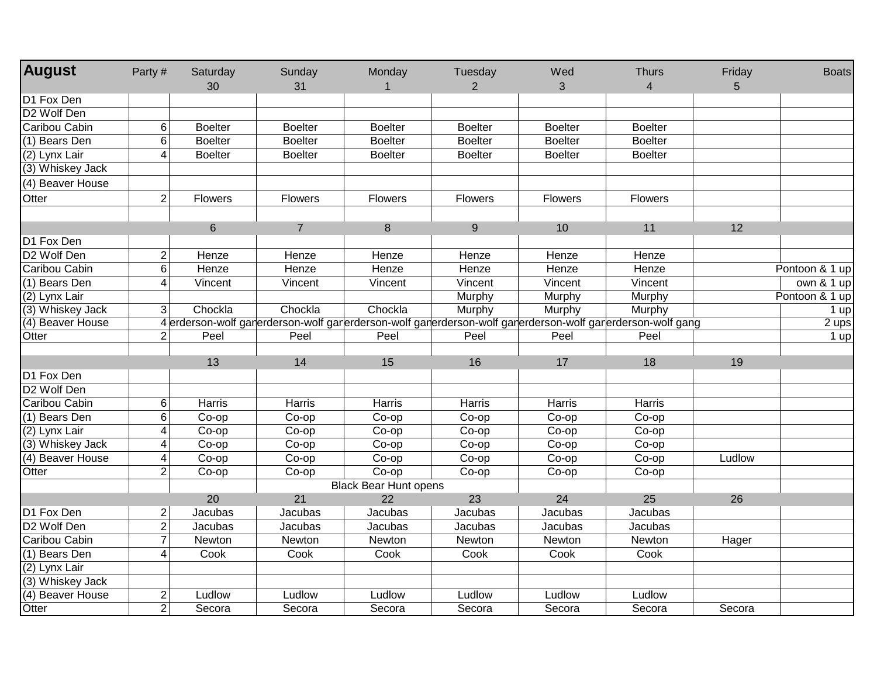| <b>August</b>           | Party#          | Saturday       | Sunday         | Monday                       | Tuesday        | Wed                                                                                                       | <b>Thurs</b>   | Friday | <b>Boats</b>   |
|-------------------------|-----------------|----------------|----------------|------------------------------|----------------|-----------------------------------------------------------------------------------------------------------|----------------|--------|----------------|
|                         |                 | 30             | 31             |                              | $\overline{2}$ | 3                                                                                                         | $\overline{4}$ | 5      |                |
| D1 Fox Den              |                 |                |                |                              |                |                                                                                                           |                |        |                |
| D <sub>2</sub> Wolf Den |                 |                |                |                              |                |                                                                                                           |                |        |                |
| Caribou Cabin           | $6 \,$          | <b>Boelter</b> | <b>Boelter</b> | <b>Boelter</b>               | <b>Boelter</b> | <b>Boelter</b>                                                                                            | <b>Boelter</b> |        |                |
| $(1)$ Bears Den         | $6\overline{6}$ | <b>Boelter</b> | <b>Boelter</b> | <b>Boelter</b>               | <b>Boelter</b> | <b>Boelter</b>                                                                                            | <b>Boelter</b> |        |                |
| (2) Lynx Lair           | 4               | <b>Boelter</b> | <b>Boelter</b> | <b>Boelter</b>               | <b>Boelter</b> | <b>Boelter</b>                                                                                            | <b>Boelter</b> |        |                |
| (3) Whiskey Jack        |                 |                |                |                              |                |                                                                                                           |                |        |                |
| (4) Beaver House        |                 |                |                |                              |                |                                                                                                           |                |        |                |
| Otter                   | $\overline{2}$  | Flowers        | Flowers        | <b>Flowers</b>               | Flowers        | Flowers                                                                                                   | <b>Flowers</b> |        |                |
|                         |                 |                |                |                              |                |                                                                                                           |                |        |                |
|                         |                 | $\,6\,$        | $\overline{7}$ | 8                            | 9              | 10                                                                                                        | 11             | 12     |                |
| D1 Fox Den              |                 |                |                |                              |                |                                                                                                           |                |        |                |
| D <sub>2</sub> Wolf Den | $\overline{2}$  | Henze          | Henze          | Henze                        | Henze          | Henze                                                                                                     | Henze          |        |                |
| Caribou Cabin           | $6 \,$          | Henze          | Henze          | Henze                        | Henze          | Henze                                                                                                     | Henze          |        | Pontoon & 1 up |
| (1) Bears Den           | 4               | Vincent        | Vincent        | Vincent                      | Vincent        | Vincent                                                                                                   | Vincent        |        | own $& 1$ up   |
| (2) Lynx Lair           |                 |                |                |                              | Murphy         | Murphy                                                                                                    | Murphy         |        | Pontoon & 1 up |
| (3) Whiskey Jack        | 3               | Chockla        | Chockla        | Chockla                      | Murphy         | Murphy                                                                                                    | Murphy         |        | $1$ up         |
| (4) Beaver House        |                 |                |                |                              |                | 4 erderson-wolf garerderson-wolf garerderson-wolf garerderson-wolf garerderson-wolf garerderson-wolf gang |                |        | $2$ ups        |
| Otter                   | $\overline{2}$  | Peel           | Peel           | Peel                         | Peel           | Peel                                                                                                      | Peel           |        | $1$ up         |
|                         |                 |                |                |                              |                |                                                                                                           |                |        |                |
|                         |                 | 13             | 14             | 15                           | 16             | 17                                                                                                        | 18             | 19     |                |
| D1 Fox Den              |                 |                |                |                              |                |                                                                                                           |                |        |                |
| D2 Wolf Den             |                 |                |                |                              |                |                                                                                                           |                |        |                |
| Caribou Cabin           | $6 \,$          | Harris         | Harris         | Harris                       | <b>Harris</b>  | Harris                                                                                                    | Harris         |        |                |
| (1) Bears Den           | $6\overline{6}$ | Co-op          | Co-op          | Co-op                        | Co-op          | Co-op                                                                                                     | Co-op          |        |                |
| (2) Lynx Lair           | 4               | Co-op          | Co-op          | Co-op                        | Co-op          | Co-op                                                                                                     | Co-op          |        |                |
| (3) Whiskey Jack        | 4               | Co-op          | Co-op          | Co-op                        | Co-op          | Co-op                                                                                                     | Co-op          |        |                |
| (4) Beaver House        | 4               | Co-op          | Co-op          | Co-op                        | Co-op          | Co-op                                                                                                     | Co-op          | Ludlow |                |
| Otter                   | $\overline{2}$  | Co-op          | Co-op          | Co-op                        | Co-op          | Co-op                                                                                                     | Co-op          |        |                |
|                         |                 |                |                | <b>Black Bear Hunt opens</b> |                |                                                                                                           |                |        |                |
|                         |                 | 20             | 21             | 22                           | 23             | 24                                                                                                        | 25             | 26     |                |
| D1 Fox Den              | $\overline{2}$  | Jacubas        | Jacubas        | Jacubas                      | Jacubas        | <b>Jacubas</b>                                                                                            | Jacubas        |        |                |
| D <sub>2</sub> Wolf Den | $\overline{2}$  | Jacubas        | Jacubas        | Jacubas                      | Jacubas        | Jacubas                                                                                                   | Jacubas        |        |                |
| Caribou Cabin           | $\overline{7}$  | Newton         | Newton         | Newton                       | Newton         | Newton                                                                                                    | Newton         | Hager  |                |
| (1) Bears Den           | 4               | Cook           | Cook           | Cook                         | Cook           | Cook                                                                                                      | Cook           |        |                |
| (2) Lynx Lair           |                 |                |                |                              |                |                                                                                                           |                |        |                |
| (3) Whiskey Jack        |                 |                |                |                              |                |                                                                                                           |                |        |                |
| (4) Beaver House        | $\overline{c}$  | Ludlow         | Ludlow         | Ludlow                       | Ludlow         | Ludlow                                                                                                    | Ludlow         |        |                |
| Otter                   | $\overline{2}$  | Secora         | Secora         | Secora                       | Secora         | Secora                                                                                                    | Secora         | Secora |                |